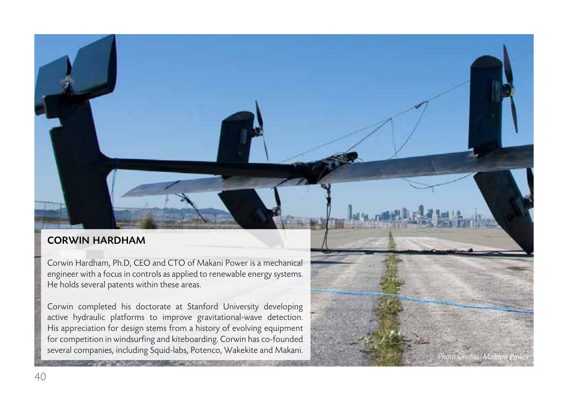## corwin hardham

Corwin Hardham, Ph.D, CEO and CTO of Makani Power is a mechanical engineer with a focus in controls as applied to renewable energy systems. He holds several patents within these areas.

Corwin completed his doctorate at Stanford University developing active hydraulic platforms to improve gravitational-wave detection. His appreciation for design stems from a history of evolving equipment for competition in windsurfing and kiteboarding. Corwin has co-founded several companies, including Squid-labs, Potenco, Wakekite and Makani.

*Photo Credits: Makani Power*